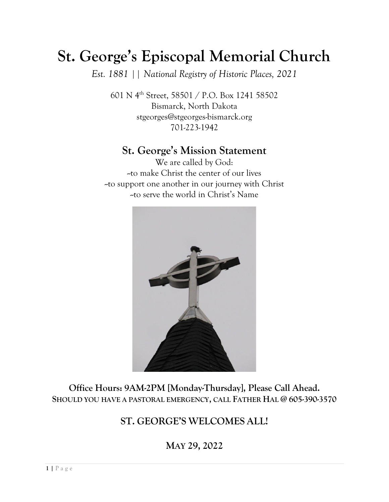# **St. George's Episcopal Memorial Church**

*Est. 1881 || National Registry of Historic Places, 2021*

601 N 4th Street, 58501 / P.O. Box 1241 58502 Bismarck, North Dakota [stgeorges@stgeorges-bismarck.org](about:blank) 701-223-1942

## **St. George's Mission Statement**

We are called by God: --to make Christ the center of our lives --to support one another in our journey with Christ --to serve the world in Christ's Name



**Office Hours: 9AM-2PM [Monday-Thursday], Please Call Ahead. SHOULD YOU HAVE A PASTORAL EMERGENCY, CALL FATHER HAL @ 605-390-3570**

## **ST. GEORGE'S WELCOMES ALL!**

**MAY 29, 2022**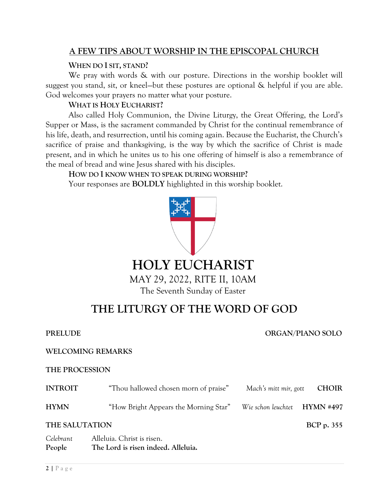### **A FEW TIPS ABOUT WORSHIP IN THE EPISCOPAL CHURCH**

#### **WHEN DO I SIT, STAND?**

We pray with words & with our posture. Directions in the worship booklet will suggest you stand, sit, or kneel—but these postures are optional & helpful if you are able. God welcomes your prayers no matter what your posture.

#### **WHAT IS HOLY EUCHARIST?**

Also called Holy Communion, the Divine Liturgy, the Great Offering, the Lord's Supper or Mass, is the sacrament commanded by Christ for the continual remembrance of his life, death, and resurrection, until his coming again. Because the Eucharist, the Church's sacrifice of praise and thanksgiving, is the way by which the sacrifice of Christ is made present, and in which he unites us to his one offering of himself is also a remembrance of the meal of bread and wine Jesus shared with his disciples.

### **HOW DO I KNOW WHEN TO SPEAK DURING WORSHIP?**

Your responses are **BOLDLY** highlighted in this worship booklet.



# **THE LITURGY OF THE WORD OF GOD**

#### **PRELUDE ORGAN/PIANO SOLO**

#### **WELCOMING REMARKS**

**People The Lord is risen indeed. Alleluia.**

#### **THE PROCESSION**

| <b>INTROIT</b> | "Thou hallowed chosen morn of praise" | Mach's mitt mir, gott        | <b>CHOIR</b>      |
|----------------|---------------------------------------|------------------------------|-------------------|
| <b>HYMN</b>    | "How Bright Appears the Morning Star" | Wie schon leuchtet HYMN #497 |                   |
| THE SALUTATION |                                       |                              | <b>BCP</b> p. 355 |
| Celebrant      | Alleluia. Christ is risen.            |                              |                   |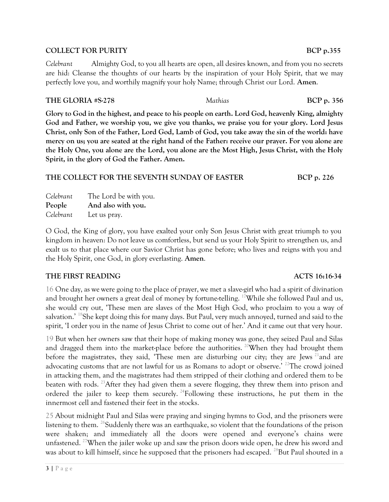#### **COLLECT FOR PURITY** BCP p.355

*Celebrant* Almighty God, to you all hearts are open, all desires known, and from you no secrets are hid: Cleanse the thoughts of our hearts by the inspiration of your Holy Spirit, that we may perfectly love you, and worthily magnify your holy Name; through Christ our Lord. **Amen**.

#### **THE GLORIA #S-278** *Mathias* **BCP p. 356**

**Glory to God in the highest, and peace to his people on earth. Lord God, heavenly King, almighty God and Father, we worship you, we give you thanks, we praise you for your glory. Lord Jesus Christ, only Son of the Father, Lord God, Lamb of God, you take away the sin of the world: have mercy on us; you are seated at the right hand of the Father: receive our prayer. For you alone are the Holy One, you alone are the Lord, you alone are the Most High, Jesus Christ, with the Holy Spirit, in the glory of God the Father. Amen.**

#### THE COLLECT FOR THE SEVENTH SUNDAY OF EASTER BCP p. 226

*Celebrant* The Lord be with you. **People And also with you.** *Celebrant* Let us pray.

O God, the King of glory, you have exalted your only Son Jesus Christ with great triumph to you kingdom in heaven: Do not leave us comfortless, but send us your Holy Spirit to strengthen us, and exalt us to that place where our Savior Christ has gone before; who lives and reigns with you and the Holy Spirit, one God, in glory everlasting. **Amen**.

#### **THE FIRST READING ACTS 16:16-34**

16 One day, as we were going to the place of prayer, we met a slave-girl who had a spirit of divination and brought her owners a great deal of money by fortune-telling. <sup>17</sup>While she followed Paul and us, she would cry out, 'These men are slaves of the Most High God, who proclaim to you a way of salvation.' <sup>18</sup>She kept doing this for many days. But Paul, very much annoyed, turned and said to the spirit, 'I order you in the name of Jesus Christ to come out of her.' And it came out that very hour.

19 But when her owners saw that their hope of making money was gone, they seized Paul and Silas and dragged them into the market-place before the authorities.<sup>20</sup>When they had brought them before the magistrates, they said, 'These men are disturbing our city; they are Jews<sup>21</sup> and are advocating customs that are not lawful for us as Romans to adopt or observe.<sup>' 22</sup>The crowd joined in attacking them, and the magistrates had them stripped of their clothing and ordered them to be beaten with rods. <sup>23</sup> After they had given them a severe flogging, they threw them into prison and ordered the jailer to keep them securely. <sup>24</sup>Following these instructions, he put them in the innermost cell and fastened their feet in the stocks.

25 About midnight Paul and Silas were praying and singing hymns to God, and the prisoners were listening to them. <sup>26</sup>Suddenly there was an earthquake, so violent that the foundations of the prison were shaken; and immediately all the doors were opened and everyone's chains were unfastened. <sup>27</sup>When the jailer woke up and saw the prison doors wide open, he drew his sword and was about to kill himself, since he supposed that the prisoners had escaped. <sup>28</sup>But Paul shouted in a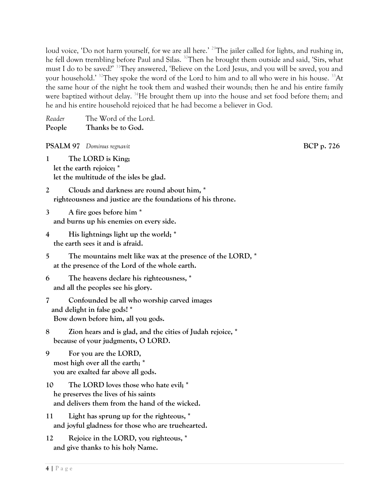loud voice, 'Do not harm yourself, for we are all here.' <sup>29</sup>The jailer called for lights, and rushing in, he fell down trembling before Paul and Silas. <sup>30</sup>Then he brought them outside and said, 'Sirs, what must I do to be saved?' <sup>31</sup>They answered, 'Believe on the Lord Jesus, and you will be saved, you and your household.' <sup>32</sup>They spoke the word of the Lord to him and to all who were in his house. <sup>33</sup>At the same hour of the night he took them and washed their wounds; then he and his entire family were baptized without delay.  $^{34}$ He brought them up into the house and set food before them; and he and his entire household rejoiced that he had become a believer in God.

| Reader | The Word of the Lord. |
|--------|-----------------------|
| People | Thanks be to God.     |

**PSALM** 97 *Dominus regnavit BCP p. 726* 

**1 The LORD is King; let the earth rejoice; \* let the multitude of the isles be glad.**

**2 Clouds and darkness are round about him, \* righteousness and justice are the foundations of his throne.**

**3 A fire goes before him \* and burns up his enemies on every side.**

- **4 His lightnings light up the world; \* the earth sees it and is afraid.**
- **5 The mountains melt like wax at the presence of the LORD, \* at the presence of the Lord of the whole earth.**

**6 The heavens declare his righteousness, \* and all the peoples see his glory.**

**7 Confounded be all who worship carved images and delight in false gods! \* Bow down before him, all you gods.**

**8 Zion hears and is glad, and the cities of Judah rejoice, \* because of your judgments, O LORD.**

**9 For you are the LORD, most high over all the earth; \* you are exalted far above all gods.**

**10 The LORD loves those who hate evil; \* he preserves the lives of his saints and delivers them from the hand of the wicked.**

**11 Light has sprung up for the righteous, \* and joyful gladness for those who are truehearted.**

**12 Rejoice in the LORD, you righteous, \* and give thanks to his holy Name.**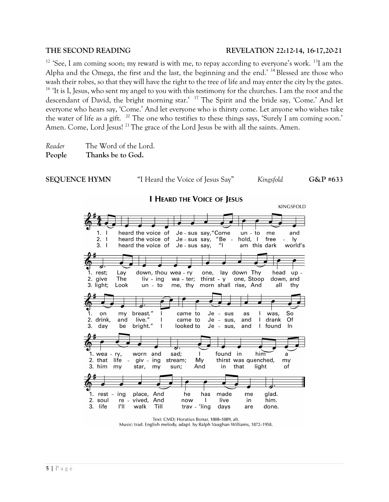#### **THE SECOND READING REVELATION 22:12-14, 16-17,20-21**

 $12$  'See, I am coming soon; my reward is with me, to repay according to everyone's work.  $13$ I am the Alpha and the Omega, the first and the last, the beginning and the end.'  $^{14}$  Blessed are those who wash their robes, so that they will have the right to the tree of life and may enter the city by the gates. <sup>16</sup> 'It is I, Jesus, who sent my angel to you with this testimony for the churches. I am the root and the descendant of David, the bright morning star.' <sup>17</sup> The Spirit and the bride say, 'Come.' And let everyone who hears say, 'Come.' And let everyone who is thirsty come. Let anyone who wishes take the water of life as a gift. <sup>20</sup> The one who testifies to these things says, 'Surely I am coming soon.' Amen. Come, Lord Jesus!<sup>21</sup>The grace of the Lord Jesus be with all the saints. Amen.

*Reader* The Word of the Lord. **People Thanks be to God.**



Text: CMD; Horatius Bonar, 1808-1889, alt. Music: trad. English melody, adapt. by Ralph Vaughan Williams, 1872-1958.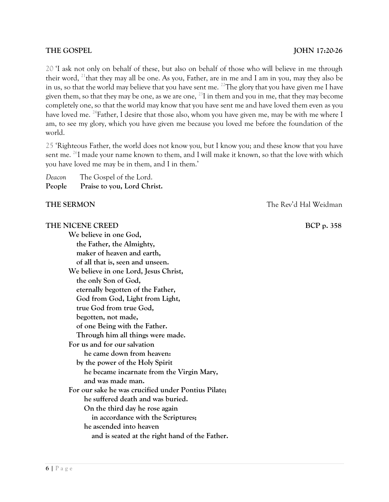#### **THE GOSPEL IOHN 17:20-26**

20 'I ask not only on behalf of these, but also on behalf of those who will believe in me through their word, <sup>21</sup>that they may all be one. As you, Father, are in me and I am in you, may they also be in us, so that the world may believe that you have sent me. <sup>22</sup>The glory that you have given me I have given them, so that they may be one, as we are one,  $^{23}$ I in them and you in me, that they may become completely one, so that the world may know that you have sent me and have loved them even as you have loved me. <sup>24</sup>Father, I desire that those also, whom you have given me, may be with me where I am, to see my glory, which you have given me because you loved me before the foundation of the world.

25 'Righteous Father, the world does not know you, but I know you; and these know that you have sent me. <sup>26</sup>I made your name known to them, and I will make it known, so that the love with which you have loved me may be in them, and I in them.'

| Deacon | The Gospel of the Lord.     |
|--------|-----------------------------|
| People | Praise to you, Lord Christ. |

#### **THE SERMON THE SERMON** *THE SERMON*

#### **THE NICENE CREED BCP** p. 358

**We believe in one God, the Father, the Almighty, maker of heaven and earth, of all that is, seen and unseen.**

**We believe in one Lord, Jesus Christ, the only Son of God, eternally begotten of the Father, God from God, Light from Light, true God from true God, begotten, not made, of one Being with the Father. Through him all things were made. For us and for our salvation he came down from heaven: by the power of the Holy Spirit he became incarnate from the Virgin Mary, and was made man. For our sake he was crucified under Pontius Pilate; he suffered death and was buried. On the third day he rose again in accordance with the Scriptures; he ascended into heaven and is seated at the right hand of the Father.**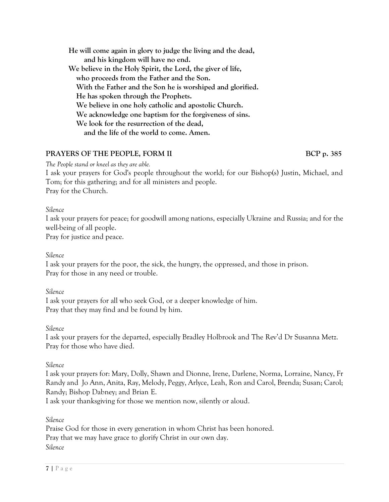**He will come again in glory to judge the living and the dead, and his kingdom will have no end. We believe in the Holy Spirit, the Lord, the giver of life, who proceeds from the Father and the Son. With the Father and the Son he is worshiped and glorified. He has spoken through the Prophets. We believe in one holy catholic and apostolic Church. We acknowledge one baptism for the forgiveness of sins. We look for the resurrection of the dead, and the life of the world to come. Amen.**

### **PRAYERS OF THE PEOPLE, FORM II** BCP p. 385

*The People stand or kneel as they are able.*

I ask your prayers for God's people throughout the world; for our Bishop(s) Justin, Michael, and Tom; for this gathering; and for all ministers and people. Pray for the Church.

*Silence*

I ask your prayers for peace; for goodwill among nations, especially Ukraine and Russia; and for the well-being of all people.

Pray for justice and peace.

*Silence*

I ask your prayers for the poor, the sick, the hungry, the oppressed, and those in prison. Pray for those in any need or trouble.

*Silence*

I ask your prayers for all who seek God, or a deeper knowledge of him. Pray that they may find and be found by him.

*Silence*

I ask your prayers for the departed, especially Bradley Holbrook and The Rev'd Dr Susanna Metz. Pray for those who have died.

*Silence*

I ask your prayers for: Mary, Dolly, Shawn and Dionne, Irene, Darlene, Norma, Lorraine, Nancy, Fr Randy and Jo Ann, Anita, Ray, Melody, Peggy, Arlyce, Leah, Ron and Carol, Brenda; Susan; Carol; Randy; Bishop Dabney; and Brian E.

I ask your thanksgiving for those we mention now, silently or aloud.

*Silence*

Praise God for those in every generation in whom Christ has been honored. Pray that we may have grace to glorify Christ in our own day. *Silence*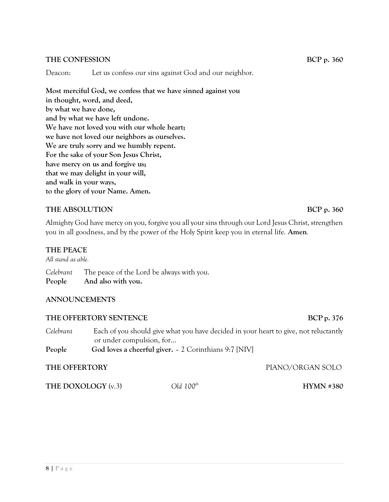#### **THE CONFESSION** BCP p. 360

Deacon: Let us confess our sins against God and our neighbor.

**Most merciful God, we confess that we have sinned against you in thought, word, and deed, by what we have done, and by what we have left undone. We have not loved you with our whole heart; we have not loved our neighbors as ourselves. We are truly sorry and we humbly repent. For the sake of your Son Jesus Christ, have mercy on us and forgive us; that we may delight in your will, and walk in your ways, to the glory of your Name. Amen.**

#### **THE ABSOLUTION** BCP p. 360

Almighty God have mercy on you, forgive you all your sins through our Lord Jesus Christ, strengthen you in all goodness, and by the power of the Holy Spirit keep you in eternal life. **Amen***.* 

#### **THE PEACE**

*All stand as able.*

*Celebrant* The peace of the Lord be always with you. **People And also with you.**

#### **ANNOUNCEMENTS**

#### **THE OFFERTORY SENTENCE BCP** p. 376

*Celebrant* Each of you should give what you have decided in your heart to give, not reluctantly or under compulsion, for… People God loves a cheerful giver. - 2 Corinthians 9:7 [NIV]

#### **THE OFFERTORY** PIANO/ORGAN SOLO

**THE DOXOLOGY** (v.3) *Old 100th* 

**HYMN #380**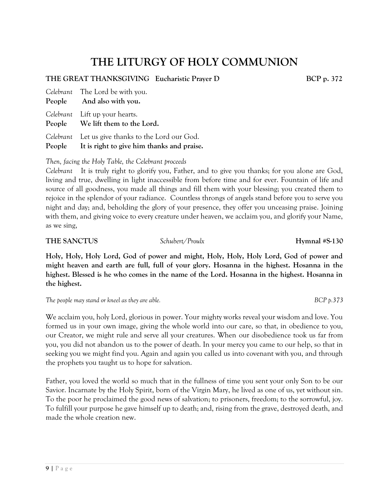## **THE LITURGY OF HOLY COMMUNION**

#### **THE GREAT THANKSGIVING Eucharistic Prayer D...... BCP p. 372**

| Celebrant The Lord be with you.<br>People And also with you.                                           |
|--------------------------------------------------------------------------------------------------------|
| Celebrant Lift up your hearts.<br>People We lift them to the Lord.                                     |
| Celebrant Let us give thanks to the Lord our God.<br>People It is right to give him thanks and praise. |

*Then, facing the Holy Table, the Celebrant proceeds*

*Celebrant* It is truly right to glorify you, Father, and to give you thanks; for you alone are God, living and true, dwelling in light inaccessible from before time and for ever. Fountain of life and source of all goodness, you made all things and fill them with your blessing; you created them to rejoice in the splendor of your radiance. Countless throngs of angels stand before you to serve you night and day; and, beholding the glory of your presence, they offer you unceasing praise. Joining with them, and giving voice to every creature under heaven, we acclaim you, and glorify your Name, as we sing,

**THE SANCTUS** *Schubert/Proulx* **Hymnal #S-130**

**Holy, Holy, Holy Lord, God of power and might, Holy, Holy, Holy Lord, God of power and might heaven and earth are full, full of your glory. Hosanna in the highest. Hosanna in the highest. Blessed is he who comes in the name of the Lord. Hosanna in the highest. Hosanna in the highest.**

*The people may stand or kneel as they are able. BCP p.373*

We acclaim you, holy Lord, glorious in power. Your mighty works reveal your wisdom and love. You formed us in your own image, giving the whole world into our care, so that, in obedience to you, our Creator, we might rule and serve all your creatures. When our disobedience took us far from you, you did not abandon us to the power of death. In your mercy you came to our help, so that in seeking you we might find you. Again and again you called us into covenant with you, and through the prophets you taught us to hope for salvation.

Father, you loved the world so much that in the fullness of time you sent your only Son to be our Savior. Incarnate by the Holy Spirit, born of the Virgin Mary, he lived as one of us, yet without sin. To the poor he proclaimed the good news of salvation; to prisoners, freedom; to the sorrowful, joy. To fulfill your purpose he gave himself up to death; and, rising from the grave, destroyed death, and made the whole creation new.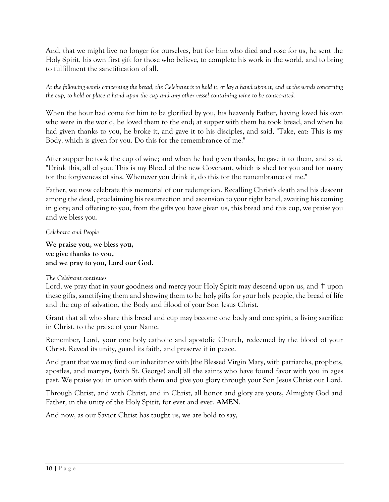And, that we might live no longer for ourselves, but for him who died and rose for us, he sent the Holy Spirit, his own first gift for those who believe, to complete his work in the world, and to bring to fulfillment the sanctification of all.

*At the following words concerning the bread, the Celebrant is to hold it, or lay a hand upon it, and at the words concerning the cup, to hold or place a hand upon the cup and any other vessel containing wine to be consecrated.*

When the hour had come for him to be glorified by you, his heavenly Father, having loved his own who were in the world, he loved them to the end; at supper with them he took bread, and when he had given thanks to you, he broke it, and gave it to his disciples, and said, "Take, eat: This is my Body, which is given for you. Do this for the remembrance of me."

After supper he took the cup of wine; and when he had given thanks, he gave it to them, and said, "Drink this, all of you: This is my Blood of the new Covenant, which is shed for you and for many for the forgiveness of sins. Whenever you drink it, do this for the remembrance of me."

Father, we now celebrate this memorial of our redemption. Recalling Christ's death and his descent among the dead, proclaiming his resurrection and ascension to your right hand, awaiting his coming in glory; and offering to you, from the gifts you have given us, this bread and this cup, we praise you and we bless you.

*Celebrant and People*

**We praise you, we bless you, we give thanks to you, and we pray to you, Lord our God.**

#### *The Celebrant continues*

Lord, we pray that in your goodness and mercy your Holy Spirit may descend upon us, and  $\dagger$  upon these gifts, sanctifying them and showing them to be holy gifts for your holy people, the bread of life and the cup of salvation, the Body and Blood of your Son Jesus Christ.

Grant that all who share this bread and cup may become one body and one spirit, a living sacrifice in Christ, to the praise of your Name.

Remember, Lord, your one holy catholic and apostolic Church, redeemed by the blood of your Christ. Reveal its unity, guard its faith, and preserve it in peace.

And grant that we may find our inheritance with [the Blessed Virgin Mary, with patriarchs, prophets, apostles, and martyrs, (with St. George) and] all the saints who have found favor with you in ages past. We praise you in union with them and give you glory through your Son Jesus Christ our Lord.

Through Christ, and with Christ, and in Christ, all honor and glory are yours, Almighty God and Father, in the unity of the Holy Spirit, for ever and ever. **AMEN**.

And now, as our Savior Christ has taught us, we are bold to say,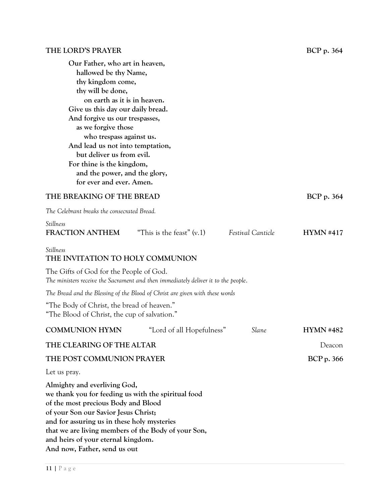## **THE LORD'S PRAYER** BCP p. 364

| Our Father, who art in heaven,<br>hallowed be thy Name,<br>thy kingdom come,<br>thy will be done,<br>on earth as it is in heaven.<br>Give us this day our daily bread.<br>And forgive us our trespasses,<br>as we forgive those<br>who trespass against us.<br>And lead us not into temptation,<br>but deliver us from evil.<br>For thine is the kingdom,<br>and the power, and the glory,<br>for ever and ever. Amen. |                             |                   |                  |
|------------------------------------------------------------------------------------------------------------------------------------------------------------------------------------------------------------------------------------------------------------------------------------------------------------------------------------------------------------------------------------------------------------------------|-----------------------------|-------------------|------------------|
| THE BREAKING OF THE BREAD                                                                                                                                                                                                                                                                                                                                                                                              |                             |                   | BCP p. 364       |
| The Celebrant breaks the consecrated Bread.                                                                                                                                                                                                                                                                                                                                                                            |                             |                   |                  |
| Stillness<br><b>FRACTION ANTHEM</b>                                                                                                                                                                                                                                                                                                                                                                                    | "This is the feast" $(v,1)$ | Festival Canticle | HYMN #417        |
| Stillness<br>THE INVITATION TO HOLY COMMUNION                                                                                                                                                                                                                                                                                                                                                                          |                             |                   |                  |
| The Gifts of God for the People of God.<br>The ministers receive the Sacrament and then immediately deliver it to the people.                                                                                                                                                                                                                                                                                          |                             |                   |                  |
| The Bread and the Blessing of the Blood of Christ are given with these words                                                                                                                                                                                                                                                                                                                                           |                             |                   |                  |
| "The Body of Christ, the bread of heaven."<br>"The Blood of Christ, the cup of salvation."                                                                                                                                                                                                                                                                                                                             |                             |                   |                  |
| <b>COMMUNION HYMN</b>                                                                                                                                                                                                                                                                                                                                                                                                  | "Lord of all Hopefulness"   | Slane             | <b>HYMN #482</b> |
| THE CLEARING OF THE ALTAR                                                                                                                                                                                                                                                                                                                                                                                              |                             |                   | Deacon           |
| THE POST COMMUNION PRAYER                                                                                                                                                                                                                                                                                                                                                                                              |                             |                   | BCP p. 366       |
| Let us pray.                                                                                                                                                                                                                                                                                                                                                                                                           |                             |                   |                  |
| Almighty and everliving God,<br>we thank you for feeding us with the spiritual food<br>of the most precious Body and Blood<br>of your Son our Savior Jesus Christ;<br>and for assuring us in these holy mysteries<br>that we are living members of the Body of your Son,<br>and heirs of your eternal kingdom.<br>And now, Father, send us out                                                                         |                             |                   |                  |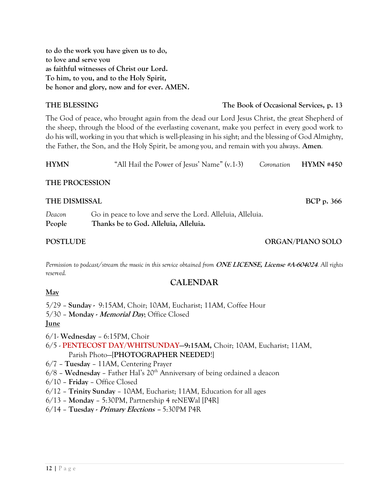**to do the work you have given us to do, to love and serve you as faithful witnesses of Christ our Lord. To him, to you, and to the Holy Spirit, be honor and glory, now and for ever. AMEN.**

#### **THE BLESSING The Book of Occasional Services, p. 13**

The God of peace, who brought again from the dead our Lord Jesus Christ, the great Shepherd of the sheep, through the blood of the everlasting covenant, make you perfect in every good work to do his will, working in you that which is well-pleasing in his sight; and the blessing of God Almighty, the Father, the Son, and the Holy Spirit, be among you, and remain with you always. **Amen***.*

| <b>HYMN</b> | "All Hail the Power of Jesus' Name" (v.1-3) |  | Coronation HYMN #450 |
|-------------|---------------------------------------------|--|----------------------|
|             |                                             |  |                      |

#### **THE PROCESSION**

## **THE DISMISSAL .............................................. BCP p. 366** *Deacon* Go in peace to love and serve the Lord. Alleluia, Alleluia. **People Thanks be to God. Alleluia, Alleluia.**

#### **POSTLUDE CONGRESSION CONGRESS IN A SEXUAL DECAY POSTLUDE**

*Permission to podcast/stream the music in this service obtained from* **ONE LICENSE, License #A-604024***. All rights reserved.*

### **CALENDAR**

#### **May**

5/29 – **Sunday -** 9:15AM, Choir; 10AM, Eucharist; 11AM, Coffee Hour 5/30 – **Monday - Memorial Day**; Office Closed

#### **June**

6/1- **Wednesday** – 6:15PM, Choir

- 6/5 **PENTECOST DAY/WHITSUNDAY—9:15AM,** Choir; 10AM, Eucharist; 11AM, Parish Photo—[**PHOTOGRAPHER NEEDED**!]
- 6/7 **Tuesday** 11AM, Centering Prayer
- 6/8 Wednesday Father Hal's 20<sup>th</sup> Anniversary of being ordained a deacon
- 6/10 **Friday** Office Closed
- 6/12 **Trinity Sunday** 10AM, Eucharist; 11AM, Education for all ages
- 6/13 **Monday** 5:30PM, Partnership 4 reNEWal [P4R]
- 6/14 **Tuesday - Primary Elections –** 5:30PM P4R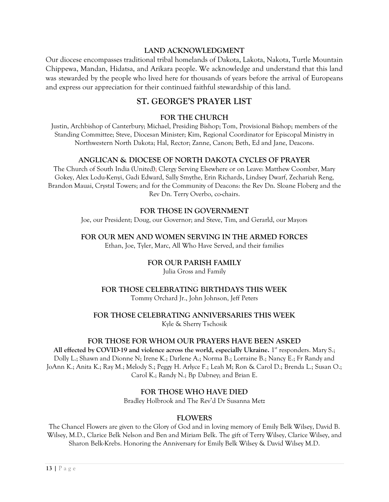#### **LAND ACKNOWLEDGMENT**

Our diocese encompasses traditional tribal homelands of Dakota, Lakota, Nakota, Turtle Mountain Chippewa, Mandan, Hidatsa, and Arikara people. We acknowledge and understand that this land was stewarded by the people who lived here for thousands of years before the arrival of Europeans and express our appreciation for their continued faithful stewardship of this land.

### **ST. GEORGE'S PRAYER LIST**

#### **FOR THE CHURCH**

Justin, Archbishop of Canterbury; Michael, Presiding Bishop; Tom, Provisional Bishop; members of the Standing Committee; Steve, Diocesan Minister; Kim, Regional Coordinator for Episcopal Ministry in Northwestern North Dakota; Hal, Rector; Zanne, Canon; Beth, Ed and Jane, Deacons.

#### **ANGLICAN & DIOCESE OF NORTH DAKOTA CYCLES OF PRAYER**

The Church of South India (United); Clergy Serving Elsewhere or on Leave: Matthew Coomber, Mary Gokey, Alex Lodu-Kenyi, Gadi Edward, Sally Smythe, Erin Richards, Lindsey Dwarf, Zechariah Reng, Brandon Mauai, Crystal Towers; and for the Community of Deacons: the Rev Dn. Sloane Floberg and the Rev Dn. Terry Overbo, co-chairs.

#### **FOR THOSE IN GOVERNMENT**

Joe, our President; Doug, our Governor; and Steve, Tim, and Gerarld, our Mayors

#### **FOR OUR MEN AND WOMEN SERVING IN THE ARMED FORCES**

Ethan, Joe, Tyler, Marc, All Who Have Served, and their families

#### **FOR OUR PARISH FAMILY**

Julia Gross and Family

## **FOR THOSE CELEBRATING BIRTHDAYS THIS WEEK**

Tommy Orchard Jr., John Johnson, Jeff Peters

#### **FOR THOSE CELEBRATING ANNIVERSARIES THIS WEEK**

Kyle & Sherry Tschosik

#### **FOR THOSE FOR WHOM OUR PRAYERS HAVE BEEN ASKED**

**All effected by COVID-19 and violence across the world, especially Ukraine.** 1 st responders. Mary S.; Dolly L.; Shawn and Dionne N; Irene K.; Darlene A.; Norma B.; Lorraine B.; Nancy E.; Fr Randy and JoAnn K.; Anita K.; Ray M.; Melody S.; Peggy H. Arlyce F.; Leah M; Ron & Carol D.; Brenda L.; Susan O.; Carol K.; Randy N.; Bp Dabney; and Brian E.

#### **FOR THOSE WHO HAVE DIED**

Bradley Holbrook and The Rev'd Dr Susanna Metz

#### **FLOWERS**

The Chancel Flowers are given to the Glory of God and in loving memory of Emily Belk Wilsey, David B. Wilsey, M.D., Clarice Belk Nelson and Ben and Miriam Belk. The gift of Terry Wilsey, Clarice Wilsey, and Sharon Belk-Krebs. Honoring the Anniversary for Emily Belk Wilsey & David Wilsey M.D.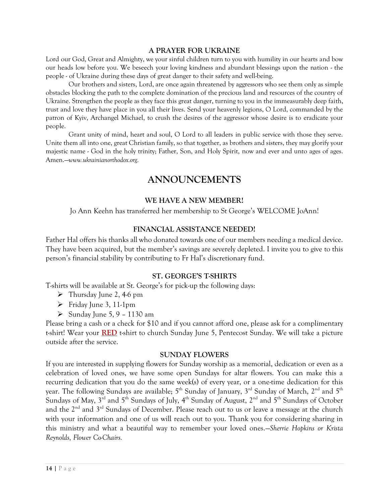#### **A PRAYER FOR UKRAINE**

Lord our God, Great and Almighty, we your sinful children turn to you with humility in our hearts and bow our heads low before you. We beseech your loving kindness and abundant blessings upon the nation - the people - of Ukraine during these days of great danger to their safety and well-being.

Our brothers and sisters, Lord, are once again threatened by aggressors who see them only as simple obstacles blocking the path to the complete domination of the precious land and resources of the country of Ukraine. Strengthen the people as they face this great danger, turning to you in the immeasurably deep faith, trust and love they have place in you all their lives. Send your heavenly legions, O Lord, commanded by the patron of Kyiv, Archangel Michael, to crush the desires of the aggressor whose desire is to eradicate your people.

Grant unity of mind, heart and soul, O Lord to all leaders in public service with those they serve. Unite them all into one, great Christian family, so that together, as brothers and sisters, they may glorify your majestic name - God in the holy trinity; Father, Son, and Holy Spirit, now and ever and unto ages of ages. Amen.—*[www.ukrainianorthodox.org.](about:blank)*

## **ANNOUNCEMENTS**

#### **WE HAVE A NEW MEMBER!**

Jo Ann Keehn has transferred her membership to St George's WELCOME JoAnn!

#### **FINANCIAL ASSISTANCE NEEDED!**

Father Hal offers his thanks all who donated towards one of our members needing a medical device. They have been acquired, but the member's savings are severely depleted. I invite you to give to this person's financial stability by contributing to Fr Hal's discretionary fund.

#### **ST. GEORGE'S T-SHIRTS**

T-shirts will be available at St. George's for pick-up the following days:

- $\triangleright$  Thursday June 2, 4-6 pm
- ➢ Friday June 3, 11-1pm
- $\blacktriangleright$  Sunday June 5, 9 1130 am

Please bring a cash or a check for \$10 and if you cannot afford one, please ask for a complimentary t-shirt! Wear your **RED** t-shirt to church Sunday June 5, Pentecost Sunday. We will take a picture outside after the service.

#### **SUNDAY FLOWERS**

If you are interested in supplying flowers for Sunday worship as a memorial, dedication or even as a celebration of loved ones, we have some open Sundays for altar flowers. You can make this a recurring dedication that you do the same week(s) of every year, or a one-time dedication for this year. The following Sundays are available;  $5^{\text{th}}$  Sunday of January,  $3^{\text{rd}}$  Sunday of March,  $2^{\text{nd}}$  and  $5^{\text{th}}$ Sundays of May,  $3^{\rm rd}$  and  $5^{\rm th}$  Sundays of July, 4 $^{\rm th}$  Sunday of August,  $2^{\rm nd}$  and  $5^{\rm th}$  Sundays of October and the  $2^{\text{nd}}$  and  $3^{\text{rd}}$  Sundays of December. Please reach out to us or leave a message at the church with your information and one of us will reach out to you. Thank you for considering sharing in this ministry and what a beautiful way to remember your loved ones.—*Sherrie Hopkins or Krista Reynolds, Flower Co-Chairs.*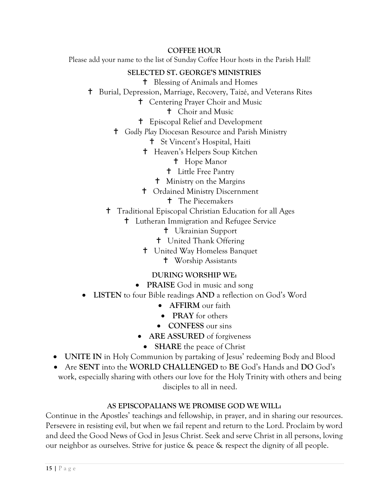### **COFFEE HOUR**

Please add your name to the list of Sunday Coffee Hour hosts in the Parish Hall!

### **SELECTED ST. GEORGE'S MINISTRIES**

- Blessing of Animals and Homes
- Burial, Depression, Marriage, Recovery, Taizé, and Veterans Rites
	- Centering Prayer Choir and Music
		- Choir and Music
	- Episcopal Relief and Development
	- *Godly Play* Diocesan Resource and Parish Ministry
		- St Vincent's Hospital, Haiti
		- Heaven's Helpers Soup Kitchen
			- **t** Hope Manor
			- Little Free Pantry
			- Ministry on the Margins
		- Ordained Ministry Discernment
			- **t** The Piecemakers
	- <sup>†</sup> Traditional Episcopal Christian Education for all Ages
		- Lutheran Immigration and Refugee Service
			- Ukrainian Support
			- United Thank Offering
			- United Way Homeless Banquet
				- Worship Assistants

### **DURING WORSHIP WE:**

- **PRAISE** God in music and song
- **LISTEN** to four Bible readings **AND** a reflection on God's Word
	- **AFFIRM** our faith
	- **PRAY** for others
	- **CONFESS** our sins
	- **ARE ASSURED** of forgiveness
	- **SHARE** the peace of Christ
- **UNITE IN** in Holy Communion by partaking of Jesus' redeeming Body and Blood
- Are **SENT** into the **WORLD CHALLENGED** to **BE** God's Hands and **DO** God's work, especially sharing with others our love for the Holy Trinity with others and being disciples to all in need.

### **AS EPISCOPALIANS WE PROMISE GOD WE WILL:**

Continue in the Apostles' teachings and fellowship, in prayer, and in sharing our resources. Persevere in resisting evil, but when we fail repent and return to the Lord. Proclaim by word and deed the Good News of God in Jesus Christ. Seek and serve Christ in all persons, loving our neighbor as ourselves. Strive for justice & peace & respect the dignity of all people.